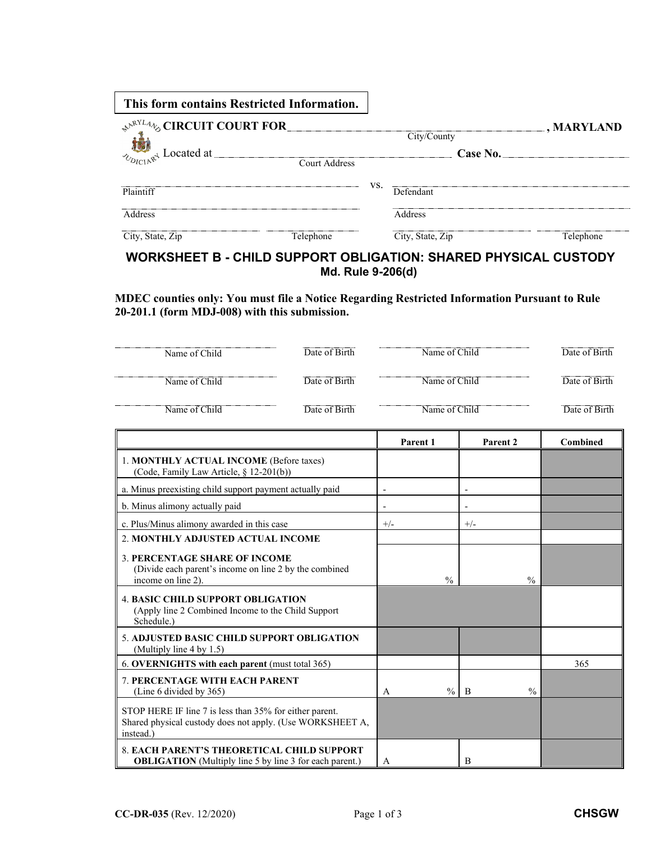| This form contains Restricted Information.          |           |     |                  |                   |
|-----------------------------------------------------|-----------|-----|------------------|-------------------|
| <b>SARYLANG CIRCUIT COURT FOR</b>                   |           |     |                  | $\Box$ , MARYLAND |
|                                                     |           |     | City/County      |                   |
|                                                     |           |     |                  | Case No.          |
| $\frac{1}{2}$ $\frac{1}{2}$ Located at Court Addres |           |     |                  |                   |
|                                                     |           | VS. | Defendant        |                   |
| Plaintiff                                           |           |     |                  |                   |
| Address                                             |           |     | Address          |                   |
| City, State, Zip                                    | Telephone |     | City, State, Zip | Telephone         |

## **WORKSHEET B - CHILD SUPPORT OBLIGATION: SHARED PHYSICAL CUSTODY Md. Rule 9-206(d)**

**MDEC counties only: You must file a Notice Regarding Restricted Information Pursuant to Rule 20-201.1 (form MDJ-008) with this submission.**

| Name of Child | Date of Birth | Name of Child | Date of Birth |
|---------------|---------------|---------------|---------------|
| Name of Child | Date of Birth | Name of Child | Date of Birth |
| Name of Child | Date of Birth | Name of Child | Date of Birth |

|                                                                                                                                   | Parent 1                 | Parent 2                        | Combined |
|-----------------------------------------------------------------------------------------------------------------------------------|--------------------------|---------------------------------|----------|
| 1. MONTHLY ACTUAL INCOME (Before taxes)<br>(Code, Family Law Article, § 12-201(b))                                                |                          |                                 |          |
| a. Minus preexisting child support payment actually paid                                                                          | $\overline{\phantom{a}}$ |                                 |          |
| b. Minus alimony actually paid                                                                                                    |                          |                                 |          |
| c. Plus/Minus alimony awarded in this case                                                                                        | $+/-$                    | $+/-$                           |          |
| 2. MONTHLY ADJUSTED ACTUAL INCOME                                                                                                 |                          |                                 |          |
| <b>3. PERCENTAGE SHARE OF INCOME</b><br>(Divide each parent's income on line 2 by the combined<br>income on line 2).              | $\frac{0}{0}$            | $\frac{0}{0}$                   |          |
| <b>4. BASIC CHILD SUPPORT OBLIGATION</b><br>(Apply line 2 Combined Income to the Child Support<br>Schedule.)                      |                          |                                 |          |
| 5. ADJUSTED BASIC CHILD SUPPORT OBLIGATION<br>(Multiply line 4 by 1.5)                                                            |                          |                                 |          |
| 6. OVERNIGHTS with each parent (must total 365)                                                                                   |                          |                                 | 365      |
| <b>7. PERCENTAGE WITH EACH PARENT</b><br>(Line 6 divided by 365)                                                                  | $\frac{0}{0}$<br>A       | $\frac{0}{0}$<br>$\overline{B}$ |          |
| STOP HERE IF line 7 is less than 35% for either parent.<br>Shared physical custody does not apply. (Use WORKSHEET A,<br>instead.) |                          |                                 |          |
| <b>8. EACH PARENT'S THEORETICAL CHILD SUPPORT</b><br><b>OBLIGATION</b> (Multiply line 5 by line 3 for each parent.)               | A                        | B                               |          |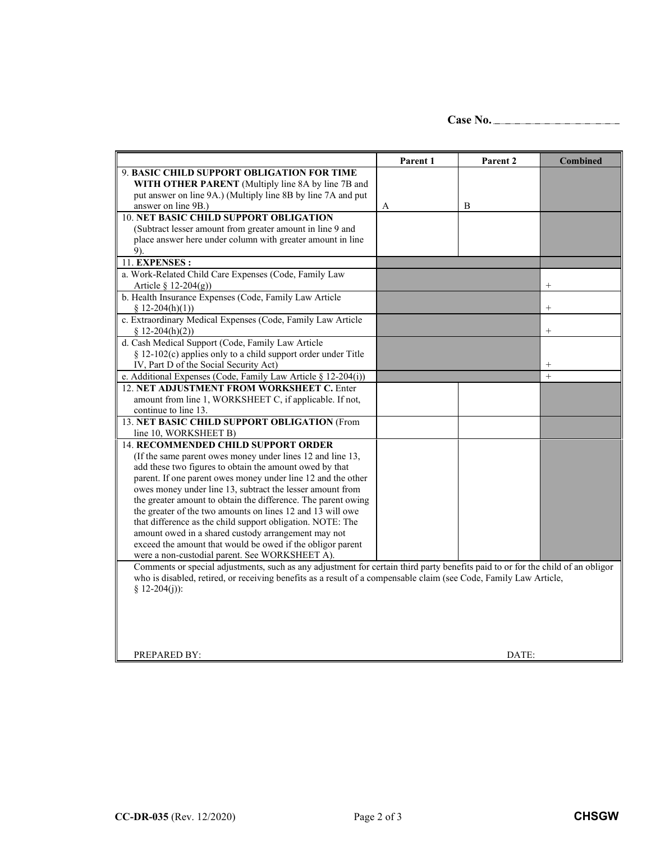**Case No.**

|                                                                                                                                                                                                                                                      | Parent 1 | Parent 2 | <b>Combined</b> |
|------------------------------------------------------------------------------------------------------------------------------------------------------------------------------------------------------------------------------------------------------|----------|----------|-----------------|
| 9. BASIC CHILD SUPPORT OBLIGATION FOR TIME                                                                                                                                                                                                           |          |          |                 |
| WITH OTHER PARENT (Multiply line 8A by line 7B and                                                                                                                                                                                                   |          |          |                 |
| put answer on line 9A.) (Multiply line 8B by line 7A and put                                                                                                                                                                                         |          |          |                 |
| answer on line 9B.)                                                                                                                                                                                                                                  | A        | B        |                 |
| <b>10. NET BASIC CHILD SUPPORT OBLIGATION</b>                                                                                                                                                                                                        |          |          |                 |
| (Subtract lesser amount from greater amount in line 9 and                                                                                                                                                                                            |          |          |                 |
| place answer here under column with greater amount in line                                                                                                                                                                                           |          |          |                 |
| 9).                                                                                                                                                                                                                                                  |          |          |                 |
| 11. EXPENSES :                                                                                                                                                                                                                                       |          |          |                 |
| a. Work-Related Child Care Expenses (Code, Family Law                                                                                                                                                                                                |          |          |                 |
| Article $\S$ 12-204(g))                                                                                                                                                                                                                              |          |          | $^{+}$          |
| b. Health Insurance Expenses (Code, Family Law Article                                                                                                                                                                                               |          |          |                 |
| $$12-204(h)(1))$                                                                                                                                                                                                                                     |          |          | $^{+}$          |
| c. Extraordinary Medical Expenses (Code, Family Law Article                                                                                                                                                                                          |          |          |                 |
| $$12-204(h)(2))$                                                                                                                                                                                                                                     |          |          |                 |
| d. Cash Medical Support (Code, Family Law Article                                                                                                                                                                                                    |          |          |                 |
| § 12-102(c) applies only to a child support order under Title                                                                                                                                                                                        |          |          |                 |
| IV, Part D of the Social Security Act)                                                                                                                                                                                                               |          |          | $^{+}$          |
| e. Additional Expenses (Code, Family Law Article § 12-204(i))                                                                                                                                                                                        |          |          | $\ddot{}$       |
| 12. NET ADJUSTMENT FROM WORKSHEET C. Enter                                                                                                                                                                                                           |          |          |                 |
| amount from line 1, WORKSHEET C, if applicable. If not,                                                                                                                                                                                              |          |          |                 |
| continue to line 13.                                                                                                                                                                                                                                 |          |          |                 |
| 13. NET BASIC CHILD SUPPORT OBLIGATION (From                                                                                                                                                                                                         |          |          |                 |
| line 10, WORKSHEET B)                                                                                                                                                                                                                                |          |          |                 |
| <b>14. RECOMMENDED CHILD SUPPORT ORDER</b>                                                                                                                                                                                                           |          |          |                 |
| (If the same parent owes money under lines 12 and line 13,                                                                                                                                                                                           |          |          |                 |
| add these two figures to obtain the amount owed by that                                                                                                                                                                                              |          |          |                 |
| parent. If one parent owes money under line 12 and the other                                                                                                                                                                                         |          |          |                 |
| owes money under line 13, subtract the lesser amount from                                                                                                                                                                                            |          |          |                 |
| the greater amount to obtain the difference. The parent owing                                                                                                                                                                                        |          |          |                 |
| the greater of the two amounts on lines 12 and 13 will owe                                                                                                                                                                                           |          |          |                 |
| that difference as the child support obligation. NOTE: The<br>amount owed in a shared custody arrangement may not                                                                                                                                    |          |          |                 |
| exceed the amount that would be owed if the obligor parent                                                                                                                                                                                           |          |          |                 |
| were a non-custodial parent. See WORKSHEET A).                                                                                                                                                                                                       |          |          |                 |
|                                                                                                                                                                                                                                                      |          |          |                 |
| Comments or special adjustments, such as any adjustment for certain third party benefits paid to or for the child of an obligor<br>who is disabled, retired, or receiving benefits as a result of a compensable claim (see Code, Family Law Article, |          |          |                 |
| § 12-204(j)):                                                                                                                                                                                                                                        |          |          |                 |
|                                                                                                                                                                                                                                                      |          |          |                 |
|                                                                                                                                                                                                                                                      |          |          |                 |
|                                                                                                                                                                                                                                                      |          |          |                 |
|                                                                                                                                                                                                                                                      |          |          |                 |
|                                                                                                                                                                                                                                                      |          |          |                 |
| PREPARED BY:                                                                                                                                                                                                                                         |          | DATE:    |                 |